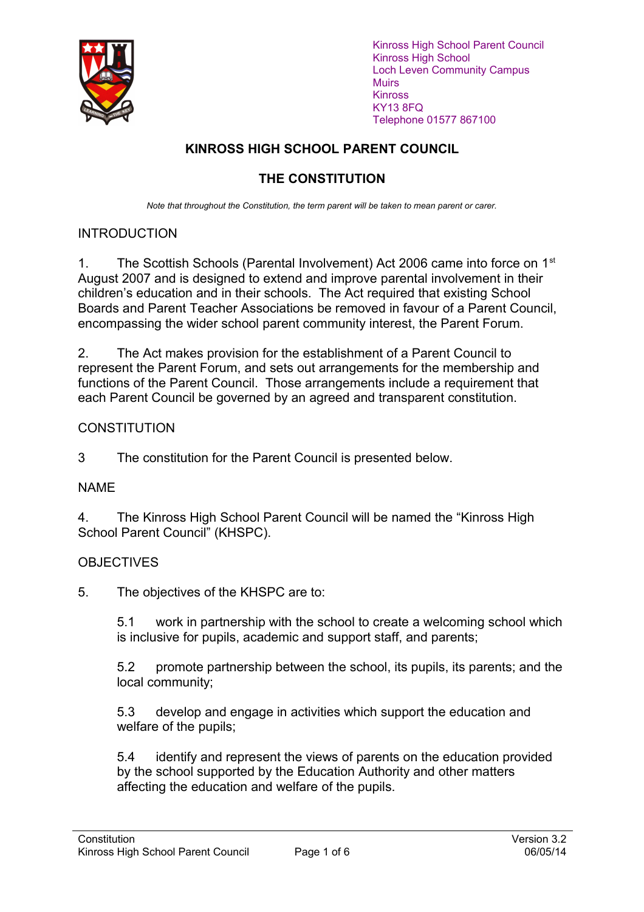

Kinross High School Parent Council Kinross High School Loch Leven Community Campus **Muirs** Kinross KY13 8FQ Telephone 01577 867100

# **KINROSS HIGH SCHOOL PARENT COUNCIL**

# **THE CONSTITUTION**

*Note that throughout the Constitution, the term parent will be taken to mean parent or carer.*

# INTRODUCTION

1. The Scottish Schools (Parental Involvement) Act 2006 came into force on 1<sup>st</sup> August 2007 and is designed to extend and improve parental involvement in their children's education and in their schools. The Act required that existing School Boards and Parent Teacher Associations be removed in favour of a Parent Council, encompassing the wider school parent community interest, the Parent Forum.

2. The Act makes provision for the establishment of a Parent Council to represent the Parent Forum, and sets out arrangements for the membership and functions of the Parent Council. Those arrangements include a requirement that each Parent Council be governed by an agreed and transparent constitution.

# **CONSTITUTION**

3 The constitution for the Parent Council is presented below.

### NAME

4. The Kinross High School Parent Council will be named the "Kinross High School Parent Council" (KHSPC).

### **OBJECTIVES**

5. The objectives of the KHSPC are to:

5.1 work in partnership with the school to create a welcoming school which is inclusive for pupils, academic and support staff, and parents;

5.2 promote partnership between the school, its pupils, its parents; and the local community;

5.3 develop and engage in activities which support the education and welfare of the pupils;

5.4 identify and represent the views of parents on the education provided by the school supported by the Education Authority and other matters affecting the education and welfare of the pupils.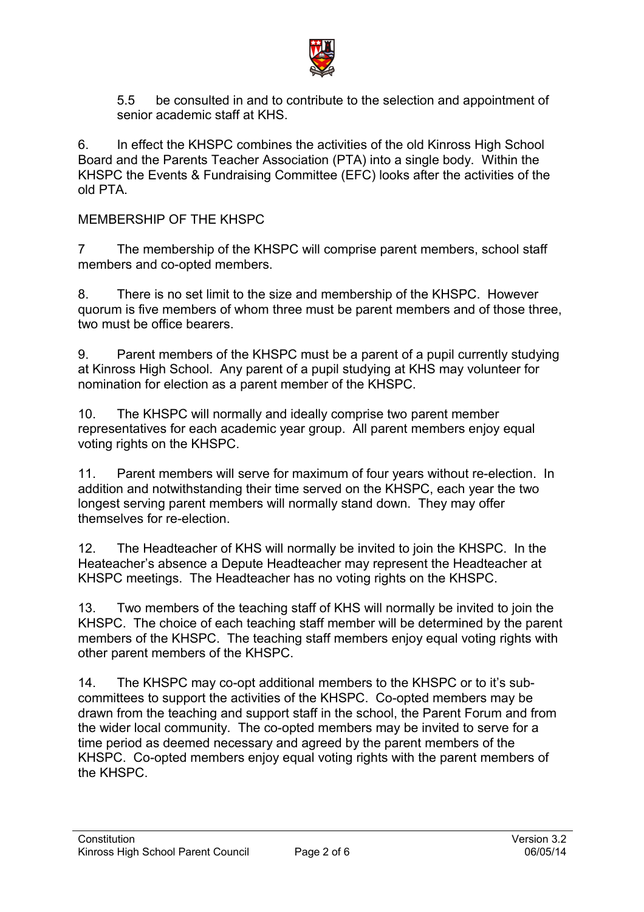

5.5 be consulted in and to contribute to the selection and appointment of senior academic staff at KHS.

6. In effect the KHSPC combines the activities of the old Kinross High School Board and the Parents Teacher Association (PTA) into a single body. Within the KHSPC the Events & Fundraising Committee (EFC) looks after the activities of the old PTA.

#### MEMBERSHIP OF THE KHSPC

7 The membership of the KHSPC will comprise parent members, school staff members and co-opted members.

8. There is no set limit to the size and membership of the KHSPC. However quorum is five members of whom three must be parent members and of those three, two must be office bearers.

9. Parent members of the KHSPC must be a parent of a pupil currently studying at Kinross High School. Any parent of a pupil studying at KHS may volunteer for nomination for election as a parent member of the KHSPC.

10. The KHSPC will normally and ideally comprise two parent member representatives for each academic year group. All parent members enjoy equal voting rights on the KHSPC.

11. Parent members will serve for maximum of four years without re-election. In addition and notwithstanding their time served on the KHSPC, each year the two longest serving parent members will normally stand down. They may offer themselves for re-election.

12. The Headteacher of KHS will normally be invited to join the KHSPC. In the Heateacher's absence a Depute Headteacher may represent the Headteacher at KHSPC meetings. The Headteacher has no voting rights on the KHSPC.

13. Two members of the teaching staff of KHS will normally be invited to join the KHSPC. The choice of each teaching staff member will be determined by the parent members of the KHSPC. The teaching staff members enjoy equal voting rights with other parent members of the KHSPC.

14. The KHSPC may co-opt additional members to the KHSPC or to it's subcommittees to support the activities of the KHSPC. Co-opted members may be drawn from the teaching and support staff in the school, the Parent Forum and from the wider local community. The co-opted members may be invited to serve for a time period as deemed necessary and agreed by the parent members of the KHSPC. Co-opted members enjoy equal voting rights with the parent members of the KHSPC.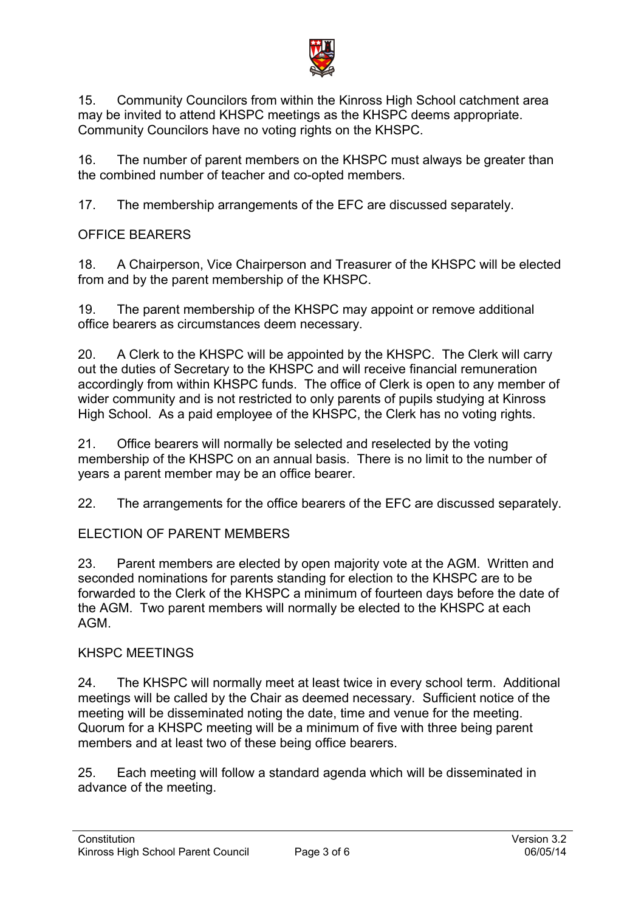

15. Community Councilors from within the Kinross High School catchment area may be invited to attend KHSPC meetings as the KHSPC deems appropriate. Community Councilors have no voting rights on the KHSPC.

16. The number of parent members on the KHSPC must always be greater than the combined number of teacher and co-opted members.

17. The membership arrangements of the EFC are discussed separately.

# OFFICE BEARERS

18. A Chairperson, Vice Chairperson and Treasurer of the KHSPC will be elected from and by the parent membership of the KHSPC.

19. The parent membership of the KHSPC may appoint or remove additional office bearers as circumstances deem necessary.

20. A Clerk to the KHSPC will be appointed by the KHSPC. The Clerk will carry out the duties of Secretary to the KHSPC and will receive financial remuneration accordingly from within KHSPC funds. The office of Clerk is open to any member of wider community and is not restricted to only parents of pupils studying at Kinross High School. As a paid employee of the KHSPC, the Clerk has no voting rights.

21. Office bearers will normally be selected and reselected by the voting membership of the KHSPC on an annual basis. There is no limit to the number of years a parent member may be an office bearer.

22. The arrangements for the office bearers of the EFC are discussed separately.

### ELECTION OF PARENT MEMBERS

23. Parent members are elected by open majority vote at the AGM. Written and seconded nominations for parents standing for election to the KHSPC are to be forwarded to the Clerk of the KHSPC a minimum of fourteen days before the date of the AGM. Two parent members will normally be elected to the KHSPC at each AGM.

#### KHSPC MEETINGS

24. The KHSPC will normally meet at least twice in every school term. Additional meetings will be called by the Chair as deemed necessary. Sufficient notice of the meeting will be disseminated noting the date, time and venue for the meeting. Quorum for a KHSPC meeting will be a minimum of five with three being parent members and at least two of these being office bearers.

25. Each meeting will follow a standard agenda which will be disseminated in advance of the meeting.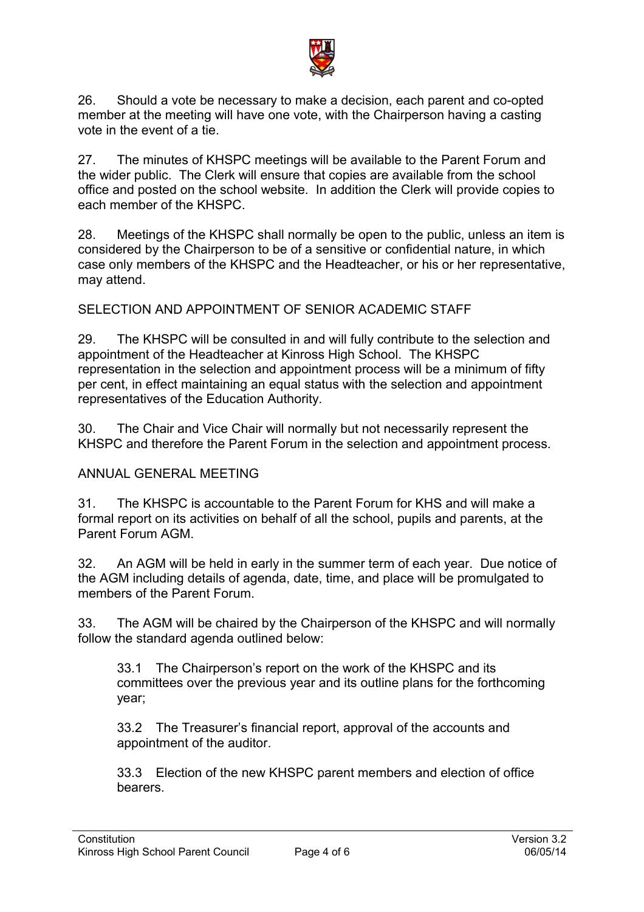

26. Should a vote be necessary to make a decision, each parent and co-opted member at the meeting will have one vote, with the Chairperson having a casting vote in the event of a tie.

27. The minutes of KHSPC meetings will be available to the Parent Forum and the wider public. The Clerk will ensure that copies are available from the school office and posted on the school website. In addition the Clerk will provide copies to each member of the KHSPC.

28. Meetings of the KHSPC shall normally be open to the public, unless an item is considered by the Chairperson to be of a sensitive or confidential nature, in which case only members of the KHSPC and the Headteacher, or his or her representative, may attend.

#### SELECTION AND APPOINTMENT OF SENIOR ACADEMIC STAFF

29. The KHSPC will be consulted in and will fully contribute to the selection and appointment of the Headteacher at Kinross High School. The KHSPC representation in the selection and appointment process will be a minimum of fifty per cent, in effect maintaining an equal status with the selection and appointment representatives of the Education Authority.

30. The Chair and Vice Chair will normally but not necessarily represent the KHSPC and therefore the Parent Forum in the selection and appointment process.

#### ANNUAL GENERAL MEETING

31. The KHSPC is accountable to the Parent Forum for KHS and will make a formal report on its activities on behalf of all the school, pupils and parents, at the Parent Forum AGM.

32. An AGM will be held in early in the summer term of each year. Due notice of the AGM including details of agenda, date, time, and place will be promulgated to members of the Parent Forum.

33. The AGM will be chaired by the Chairperson of the KHSPC and will normally follow the standard agenda outlined below:

33.1 The Chairperson's report on the work of the KHSPC and its committees over the previous year and its outline plans for the forthcoming year;

33.2 The Treasurer's financial report, approval of the accounts and appointment of the auditor.

33.3 Election of the new KHSPC parent members and election of office bearers.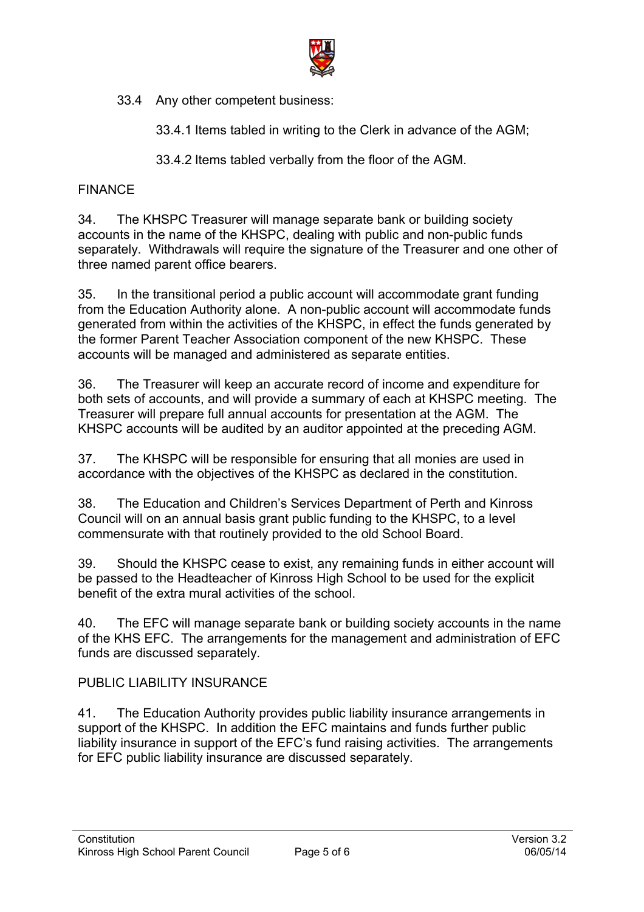

33.4 Any other competent business:

33.4.1 Items tabled in writing to the Clerk in advance of the AGM;

33.4.2 Items tabled verbally from the floor of the AGM.

## FINANCE

34. The KHSPC Treasurer will manage separate bank or building society accounts in the name of the KHSPC, dealing with public and non-public funds separately. Withdrawals will require the signature of the Treasurer and one other of three named parent office bearers.

35. In the transitional period a public account will accommodate grant funding from the Education Authority alone. A non-public account will accommodate funds generated from within the activities of the KHSPC, in effect the funds generated by the former Parent Teacher Association component of the new KHSPC. These accounts will be managed and administered as separate entities.

36. The Treasurer will keep an accurate record of income and expenditure for both sets of accounts, and will provide a summary of each at KHSPC meeting. The Treasurer will prepare full annual accounts for presentation at the AGM. The KHSPC accounts will be audited by an auditor appointed at the preceding AGM.

37. The KHSPC will be responsible for ensuring that all monies are used in accordance with the objectives of the KHSPC as declared in the constitution.

38. The Education and Children's Services Department of Perth and Kinross Council will on an annual basis grant public funding to the KHSPC, to a level commensurate with that routinely provided to the old School Board.

39. Should the KHSPC cease to exist, any remaining funds in either account will be passed to the Headteacher of Kinross High School to be used for the explicit benefit of the extra mural activities of the school.

40. The EFC will manage separate bank or building society accounts in the name of the KHS EFC. The arrangements for the management and administration of EFC funds are discussed separately.

### PUBLIC LIABILITY INSURANCE

41. The Education Authority provides public liability insurance arrangements in support of the KHSPC. In addition the EFC maintains and funds further public liability insurance in support of the EFC's fund raising activities. The arrangements for EFC public liability insurance are discussed separately.